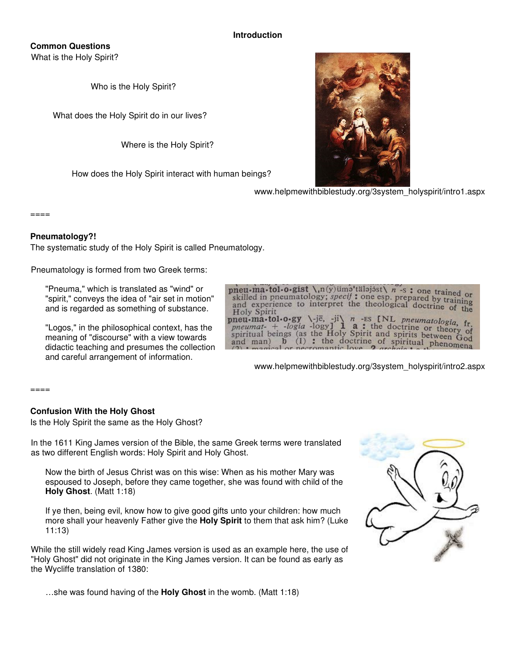### **Introduction**

# **Common Questions**

What is the Holy Spirit?

Who is the Holy Spirit?

What does the Holy Spirit do in our lives?

Where is the Holy Spirit?

How does the Holy Spirit interact with human beings?



www.helpmewithbiblestudy.org/3system\_holyspirit/intro1.aspx

 $=====$ 

### **Pneumatology?!**

The systematic study of the Holy Spirit is called Pneumatology.

Pneumatology is formed from two Greek terms:

"Pneuma," which is translated as "wind" or "spirit," conveys the idea of "air set in motion" and is regarded as something of substance.

"Logos," in the philosophical context, has the meaning of "discourse" with a view towards didactic teaching and presumes the collection and careful arrangement of information.

pneu-ma-tol-o-gist  $\lambda_n(y)$  uma<sup>t</sup>talajast $\lambda$  n -s : one trained or  $\frac{1}{100}$  and  $\frac{1}{100}$  and  $\frac{1}{100}$  and  $\frac{1}{100}$  and  $\frac{1}{100}$  and  $\frac{1}{100}$  and  $\frac{1}{100}$  and  $\frac{1}{100}$  and  $\frac{1}{100}$  and  $\frac{1}{100}$  and  $\frac{1}{100}$  and  $\frac{1}{100}$  and  $\frac{1}{100}$  and  $\frac{1}{100}$  a skilled in pheumatology, specy: one esp. prepared by training<br>and experience to interpret the theological doctrine of the<br>Holy Spirit **Holy Spirit**  $n$  -ES [NL pneumatologia, fr.  $\iota$ -jē, -ji $\iota$ pneu-ma-tol-o-gy **a**: the doctrine or theory of -logia -logy] pneumatspiritual beings (as the Holy Spirit and spiritual being of theory of and print between  $\frac{1}{2}$  of  $\frac{1}{2}$  and  $\frac{1}{2}$  and  $\frac{1}{2}$  and  $\frac{1}{2}$  and  $\frac{1}{2}$  and  $\frac{1}{2}$  and  $\frac{1}{2}$  and  $\frac{1}{2}$  and  $\frac{1}{2}$ : the doctrine of spiritual phenomena and man)  $\mathbf b$  $(1)$ 

www.helpmewithbiblestudy.org/3system\_holyspirit/intro2.aspx

 $=====$ 

### **Confusion With the Holy Ghost**

Is the Holy Spirit the same as the Holy Ghost?

In the 1611 King James version of the Bible, the same Greek terms were translated as two different English words: Holy Spirit and Holy Ghost.

Now the birth of Jesus Christ was on this wise: When as his mother Mary was espoused to Joseph, before they came together, she was found with child of the **Holy Ghost**. (Matt 1:18)

If ye then, being evil, know how to give good gifts unto your children: how much more shall your heavenly Father give the **Holy Spirit** to them that ask him? (Luke 11:13)

While the still widely read King James version is used as an example here, the use of "Holy Ghost" did not originate in the King James version. It can be found as early as the Wycliffe translation of 1380:



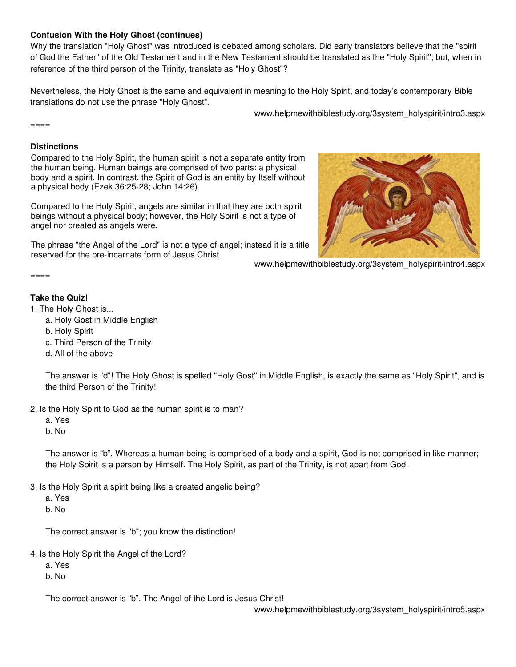# **Confusion With the Holy Ghost (continues)**

Why the translation "Holy Ghost" was introduced is debated among scholars. Did early translators believe that the "spirit of God the Father" of the Old Testament and in the New Testament should be translated as the "Holy Spirit"; but, when in reference of the third person of the Trinity, translate as "Holy Ghost"?

Nevertheless, the Holy Ghost is the same and equivalent in meaning to the Holy Spirit, and today's contemporary Bible translations do not use the phrase "Holy Ghost".

www.helpmewithbiblestudy.org/3system\_holyspirit/intro3.aspx

 $====$ 

### **Distinctions**

Compared to the Holy Spirit, the human spirit is not a separate entity from the human being. Human beings are comprised of two parts: a physical body and a spirit. In contrast, the Spirit of God is an entity by Itself without a physical body (Ezek 36:25-28; John 14:26).

Compared to the Holy Spirit, angels are similar in that they are both spirit beings without a physical body; however, the Holy Spirit is not a type of angel nor created as angels were.

The phrase "the Angel of the Lord" is not a type of angel; instead it is a title reserved for the pre-incarnate form of Jesus Christ.



www.helpmewithbiblestudy.org/3system\_holyspirit/intro4.aspx

====

### **Take the Quiz!**

- 1. The Holy Ghost is...
	- a. Holy Gost in Middle English
	- b. Holy Spirit
	- c. Third Person of the Trinity
	- d. All of the above

The answer is "d"! The Holy Ghost is spelled "Holy Gost" in Middle English, is exactly the same as "Holy Spirit", and is the third Person of the Trinity!

- 2. Is the Holy Spirit to God as the human spirit is to man?
	- a. Yes

b. No

The answer is "b". Whereas a human being is comprised of a body and a spirit, God is not comprised in like manner; the Holy Spirit is a person by Himself. The Holy Spirit, as part of the Trinity, is not apart from God.

- 3. Is the Holy Spirit a spirit being like a created angelic being?
	- a. Yes

b. No

The correct answer is "b"; you know the distinction!

- 4. Is the Holy Spirit the Angel of the Lord?
	- a. Yes

b. No

The correct answer is "b". The Angel of the Lord is Jesus Christ!

www.helpmewithbiblestudy.org/3system\_holyspirit/intro5.aspx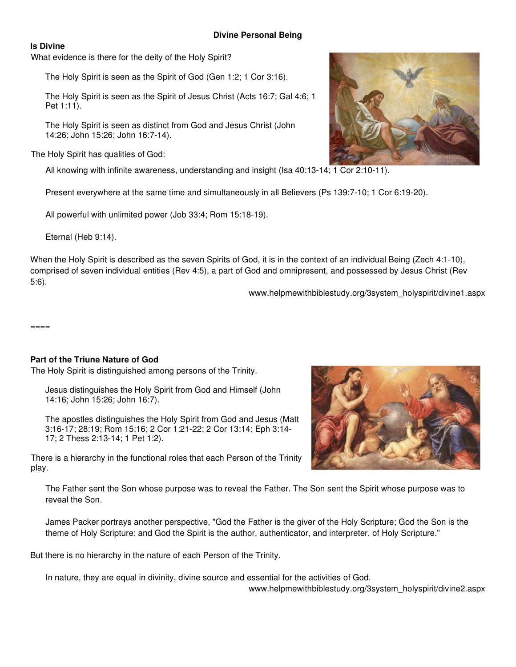## **Divine Personal Being**

### **Is Divine**

What evidence is there for the deity of the Holy Spirit?

The Holy Spirit is seen as the Spirit of God (Gen 1:2; 1 Cor 3:16).

The Holy Spirit is seen as the Spirit of Jesus Christ (Acts 16:7; Gal 4:6; 1 Pet 1:11).

The Holy Spirit is seen as distinct from God and Jesus Christ (John 14:26; John 15:26; John 16:7-14).

The Holy Spirit has qualities of God:

All knowing with infinite awareness, understanding and insight (Isa 40:13-14; 1 Cor 2:10-11).

Present everywhere at the same time and simultaneously in all Believers (Ps 139:7-10; 1 Cor 6:19-20).

All powerful with unlimited power (Job 33:4; Rom 15:18-19).

Eternal (Heb 9:14).

When the Holy Spirit is described as the seven Spirits of God, it is in the context of an individual Being (Zech 4:1-10), comprised of seven individual entities (Rev 4:5), a part of God and omnipresent, and possessed by Jesus Christ (Rev 5:6).

www.helpmewithbiblestudy.org/3system\_holyspirit/divine1.aspx

====

# **Part of the Triune Nature of God**

The Holy Spirit is distinguished among persons of the Trinity.

Jesus distinguishes the Holy Spirit from God and Himself (John 14:16; John 15:26; John 16:7).

The apostles distinguishes the Holy Spirit from God and Jesus (Matt 3:16-17; 28:19; Rom 15:16; 2 Cor 1:21-22; 2 Cor 13:14; Eph 3:14- 17; 2 Thess 2:13-14; 1 Pet 1:2).

There is a hierarchy in the functional roles that each Person of the Trinity play.



The Father sent the Son whose purpose was to reveal the Father. The Son sent the Spirit whose purpose was to reveal the Son.

James Packer portrays another perspective, "God the Father is the giver of the Holy Scripture; God the Son is the theme of Holy Scripture; and God the Spirit is the author, authenticator, and interpreter, of Holy Scripture."

But there is no hierarchy in the nature of each Person of the Trinity.

In nature, they are equal in divinity, divine source and essential for the activities of God.

www.helpmewithbiblestudy.org/3system\_holyspirit/divine2.aspx

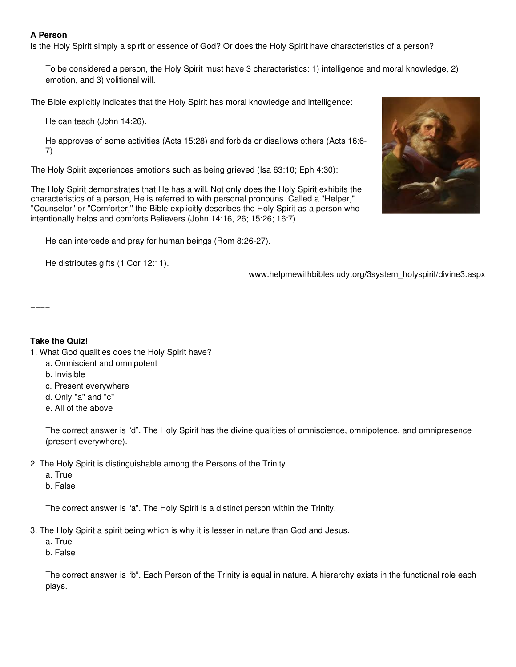# **A Person**

Is the Holy Spirit simply a spirit or essence of God? Or does the Holy Spirit have characteristics of a person?

To be considered a person, the Holy Spirit must have 3 characteristics: 1) intelligence and moral knowledge, 2) emotion, and 3) volitional will.

The Bible explicitly indicates that the Holy Spirit has moral knowledge and intelligence:

He can teach (John 14:26).

He approves of some activities (Acts 15:28) and forbids or disallows others (Acts 16:6- 7).

The Holy Spirit experiences emotions such as being grieved (Isa 63:10; Eph 4:30):

The Holy Spirit demonstrates that He has a will. Not only does the Holy Spirit exhibits the characteristics of a person, He is referred to with personal pronouns. Called a "Helper," "Counselor" or "Comforter," the Bible explicitly describes the Holy Spirit as a person who intentionally helps and comforts Believers (John 14:16, 26; 15:26; 16:7).

He can intercede and pray for human beings (Rom 8:26-27).

He distributes gifts (1 Cor 12:11).

www.helpmewithbiblestudy.org/3system\_holyspirit/divine3.aspx

 $=$  $=$  $=$  $=$  $=$ 

# **Take the Quiz!**

- 1. What God qualities does the Holy Spirit have?
	- a. Omniscient and omnipotent
	- b. Invisible
	- c. Present everywhere
	- d. Only "a" and "c"
	- e. All of the above

The correct answer is "d". The Holy Spirit has the divine qualities of omniscience, omnipotence, and omnipresence (present everywhere).

- 2. The Holy Spirit is distinguishable among the Persons of the Trinity.
	- a. True
	- b. False

The correct answer is "a". The Holy Spirit is a distinct person within the Trinity.

- 3. The Holy Spirit a spirit being which is why it is lesser in nature than God and Jesus.
	- a. True

b. False

The correct answer is "b". Each Person of the Trinity is equal in nature. A hierarchy exists in the functional role each plays.

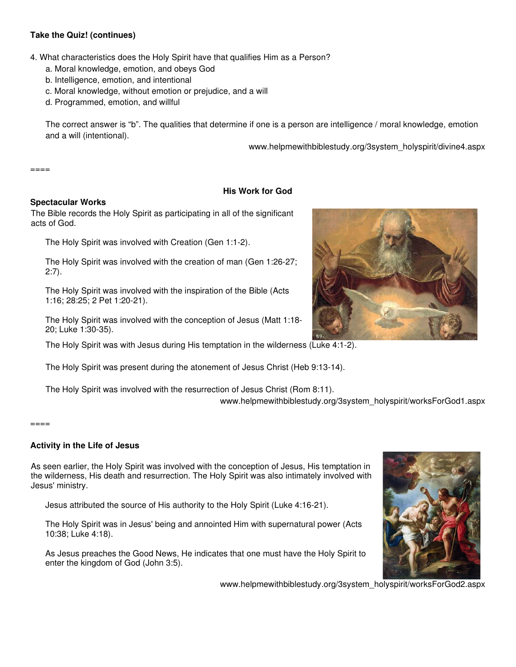# **Take the Quiz! (continues)**

4. What characteristics does the Holy Spirit have that qualifies Him as a Person?

- a. Moral knowledge, emotion, and obeys God
- b. Intelligence, emotion, and intentional
- c. Moral knowledge, without emotion or prejudice, and a will
- d. Programmed, emotion, and willful

The correct answer is "b". The qualities that determine if one is a person are intelligence / moral knowledge, emotion and a will (intentional).

www.helpmewithbiblestudy.org/3system\_holyspirit/divine4.aspx

====

### **His Work for God**

### **Spectacular Works**

The Bible records the Holy Spirit as participating in all of the significant acts of God.

The Holy Spirit was involved with Creation (Gen 1:1-2).

The Holy Spirit was involved with the creation of man (Gen 1:26-27; 2:7).

The Holy Spirit was involved with the inspiration of the Bible (Acts 1:16; 28:25; 2 Pet 1:20-21).

The Holy Spirit was involved with the conception of Jesus (Matt 1:18- 20; Luke 1:30-35).

The Holy Spirit was with Jesus during His temptation in the wilderness (Luke 4:1-2).

The Holy Spirit was present during the atonement of Jesus Christ (Heb 9:13-14).

The Holy Spirit was involved with the resurrection of Jesus Christ (Rom 8:11).

www.helpmewithbiblestudy.org/3system\_holyspirit/worksForGod1.aspx

#### $=$  $=$  $=$  $=$

### **Activity in the Life of Jesus**

As seen earlier, the Holy Spirit was involved with the conception of Jesus, His temptation in the wilderness, His death and resurrection. The Holy Spirit was also intimately involved with Jesus' ministry.

Jesus attributed the source of His authority to the Holy Spirit (Luke 4:16-21).

The Holy Spirit was in Jesus' being and annointed Him with supernatural power (Acts 10:38; Luke 4:18).

As Jesus preaches the Good News, He indicates that one must have the Holy Spirit to enter the kingdom of God (John 3:5).







# www.helpmewithbiblestudy.org/3system\_holyspirit/worksForGod2.aspx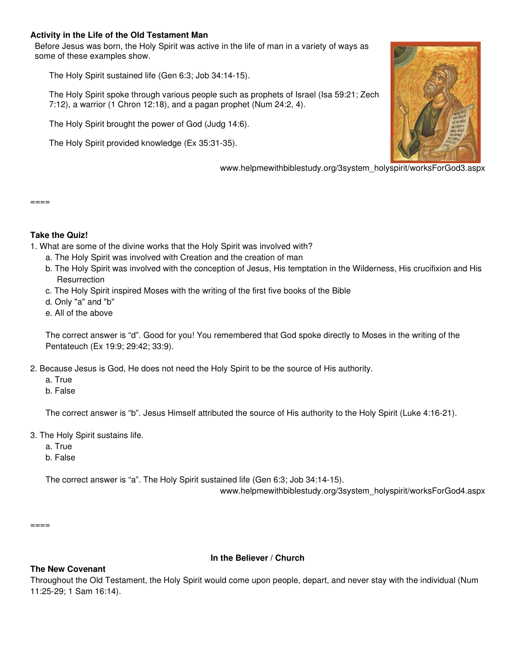## **Activity in the Life of the Old Testament Man**

Before Jesus was born, the Holy Spirit was active in the life of man in a variety of ways as some of these examples show.

The Holy Spirit sustained life (Gen 6:3; Job 34:14-15).

The Holy Spirit spoke through various people such as prophets of Israel (Isa 59:21; Zech 7:12), a warrior (1 Chron 12:18), and a pagan prophet (Num 24:2, 4).

The Holy Spirit brought the power of God (Judg 14:6).

The Holy Spirit provided knowledge (Ex 35:31-35).



www.helpmewithbiblestudy.org/3system\_holyspirit/worksForGod3.aspx

#### ====

# **Take the Quiz!**

1. What are some of the divine works that the Holy Spirit was involved with?

- a. The Holy Spirit was involved with Creation and the creation of man
- b. The Holy Spirit was involved with the conception of Jesus, His temptation in the Wilderness, His crucifixion and His **Resurrection**
- c. The Holy Spirit inspired Moses with the writing of the first five books of the Bible
- d. Only "a" and "b"
- e. All of the above

The correct answer is "d". Good for you! You remembered that God spoke directly to Moses in the writing of the Pentateuch (Ex 19:9; 29:42; 33:9).

2. Because Jesus is God, He does not need the Holy Spirit to be the source of His authority.

- a. True
- b. False

The correct answer is "b". Jesus Himself attributed the source of His authority to the Holy Spirit (Luke 4:16-21).

- 3. The Holy Spirit sustains life.
	- a. True
	- b. False

The correct answer is "a". The Holy Spirit sustained life (Gen 6:3; Job 34:14-15).

www.helpmewithbiblestudy.org/3system\_holyspirit/worksForGod4.aspx

 $====$ 

# **In the Believer / Church**

# **The New Covenant**

Throughout the Old Testament, the Holy Spirit would come upon people, depart, and never stay with the individual (Num 11:25-29; 1 Sam 16:14).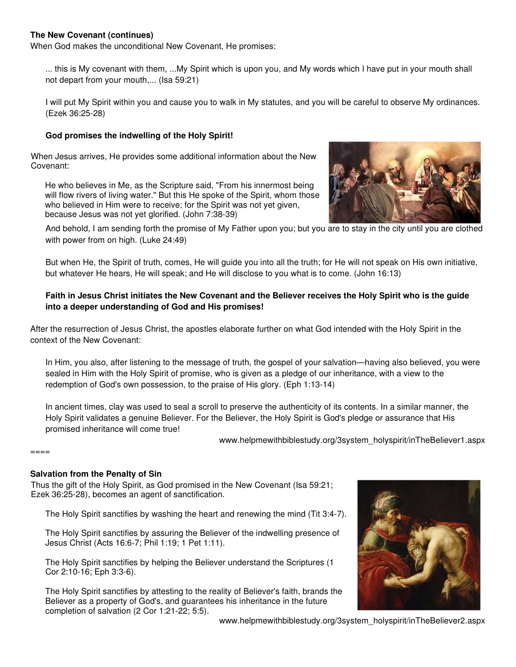# **The New Covenant (continues)**

When God makes the unconditional New Covenant, He promises:

... this is My covenant with them, ...My Spirit which is upon you, and My words which I have put in your mouth shall not depart from your mouth,... (Isa 59:21)

I will put My Spirit within you and cause you to walk in My statutes, and you will be careful to observe My ordinances. (Ezek 36:25-28)

### **God promises the indwelling of the Holy Spirit!**

When Jesus arrives, He provides some additional information about the New Covenant:

He who believes in Me, as the Scripture said, "From his innermost being will flow rivers of living water." But this He spoke of the Spirit, whom those who believed in Him were to receive; for the Spirit was not yet given, because Jesus was not yet glorified. (John 7:38-39)



And behold, I am sending forth the promise of My Father upon you; but you are to stay in the city until you are clothed with power from on high. (Luke 24:49)

But when He, the Spirit of truth, comes, He will guide you into all the truth; for He will not speak on His own initiative, but whatever He hears, He will speak; and He will disclose to you what is to come. (John 16:13)

### **Faith in Jesus Christ initiates the New Covenant and the Believer receives the Holy Spirit who is the guide into a deeper understanding of God and His promises!**

After the resurrection of Jesus Christ, the apostles elaborate further on what God intended with the Holy Spirit in the context of the New Covenant:

In Him, you also, after listening to the message of truth, the gospel of your salvation—having also believed, you were sealed in Him with the Holy Spirit of promise, who is given as a pledge of our inheritance, with a view to the redemption of God's own possession, to the praise of His glory. (Eph 1:13-14)

In ancient times, clay was used to seal a scroll to preserve the authenticity of its contents. In a similar manner, the Holy Spirit validates a genuine Believer. For the Believer, the Holy Spirit is God's pledge or assurance that His promised inheritance will come true!

www.helpmewithbiblestudy.org/3system\_holyspirit/inTheBeliever1.aspx

====

### **Salvation from the Penalty of Sin**

Thus the gift of the Holy Spirit, as God promised in the New Covenant (Isa 59:21; Ezek 36:25-28), becomes an agent of sanctification.

The Holy Spirit sanctifies by washing the heart and renewing the mind (Tit 3:4-7).

The Holy Spirit sanctifies by assuring the Believer of the indwelling presence of Jesus Christ (Acts 16:6-7; Phil 1:19; 1 Pet 1:11).

The Holy Spirit sanctifies by helping the Believer understand the Scriptures (1 Cor 2:10-16; Eph 3:3-6).

The Holy Spirit sanctifies by attesting to the reality of Believer's faith, brands the Believer as a property of God's, and guarantees his inheritance in the future completion of salvation (2 Cor 1:21-22; 5:5).



www.helpmewithbiblestudy.org/3system\_holyspirit/inTheBeliever2.aspx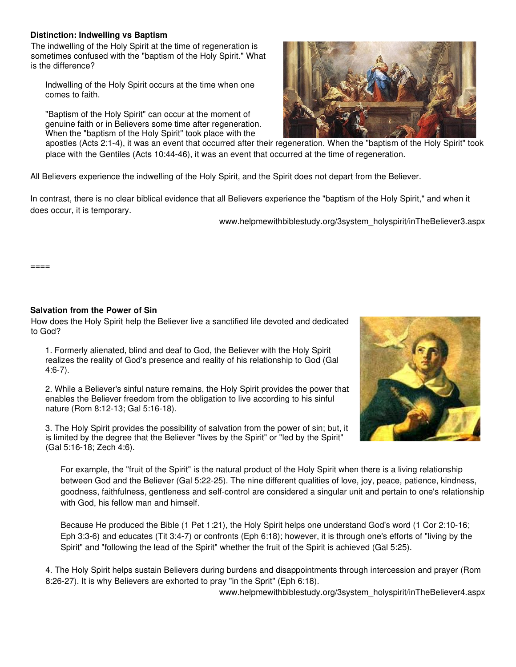### **Distinction: Indwelling vs Baptism**

The indwelling of the Holy Spirit at the time of regeneration is sometimes confused with the "baptism of the Holy Spirit." What is the difference?

Indwelling of the Holy Spirit occurs at the time when one comes to faith.

"Baptism of the Holy Spirit" can occur at the moment of genuine faith or in Believers some time after regeneration. When the "baptism of the Holy Spirit" took place with the

apostles (Acts 2:1-4), it was an event that occurred after their regeneration. When the "baptism of the Holy Spirit" took place with the Gentiles (Acts 10:44-46), it was an event that occurred at the time of regeneration.

All Believers experience the indwelling of the Holy Spirit, and the Spirit does not depart from the Believer.

In contrast, there is no clear biblical evidence that all Believers experience the "baptism of the Holy Spirit," and when it does occur, it is temporary.

www.helpmewithbiblestudy.org/3system\_holyspirit/inTheBeliever3.aspx

====

### **Salvation from the Power of Sin**

How does the Holy Spirit help the Believer live a sanctified life devoted and dedicated to God?

1. Formerly alienated, blind and deaf to God, the Believer with the Holy Spirit realizes the reality of God's presence and reality of his relationship to God (Gal 4:6-7).

2. While a Believer's sinful nature remains, the Holy Spirit provides the power that enables the Believer freedom from the obligation to live according to his sinful nature (Rom 8:12-13; Gal 5:16-18).

3. The Holy Spirit provides the possibility of salvation from the power of sin; but, it is limited by the degree that the Believer "lives by the Spirit" or "led by the Spirit" (Gal 5:16-18; Zech 4:6).



For example, the "fruit of the Spirit" is the natural product of the Holy Spirit when there is a living relationship between God and the Believer (Gal 5:22-25). The nine different qualities of love, joy, peace, patience, kindness, goodness, faithfulness, gentleness and self-control are considered a singular unit and pertain to one's relationship with God, his fellow man and himself.

Because He produced the Bible (1 Pet 1:21), the Holy Spirit helps one understand God's word (1 Cor 2:10-16; Eph 3:3-6) and educates (Tit 3:4-7) or confronts (Eph 6:18); however, it is through one's efforts of "living by the Spirit" and "following the lead of the Spirit" whether the fruit of the Spirit is achieved (Gal 5:25).

4. The Holy Spirit helps sustain Believers during burdens and disappointments through intercession and prayer (Rom 8:26-27). It is why Believers are exhorted to pray "in the Sprit" (Eph 6:18).

www.helpmewithbiblestudy.org/3system\_holyspirit/inTheBeliever4.aspx

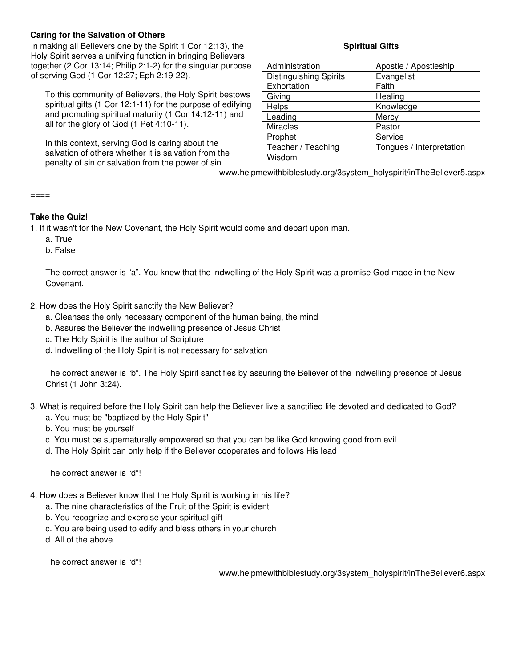# **Caring for the Salvation of Others**

In making all Believers one by the Spirit 1 Cor 12:13), the Holy Spirit serves a unifying function in bringing Believers together (2 Cor 13:14; Philip 2:1-2) for the singular purpose of serving God (1 Cor 12:27; Eph 2:19-22).

To this community of Believers, the Holy Spirit bestows spiritual gifts (1 Cor 12:1-11) for the purpose of edifying and promoting spiritual maturity (1 Cor 14:12-11) and all for the glory of God (1 Pet 4:10-11).

In this context, serving God is caring about the salvation of others whether it is salvation from the penalty of sin or salvation from the power of sin.

# **Spiritual Gifts**

| Administration                | Apostle / Apostleship    |
|-------------------------------|--------------------------|
| <b>Distinguishing Spirits</b> | Evangelist               |
| Exhortation                   | Faith                    |
| Giving                        | Healing                  |
| <b>Helps</b>                  | Knowledge                |
| Leading                       | Mercy                    |
| <b>Miracles</b>               | Pastor                   |
| Prophet                       | Service                  |
| Teacher / Teaching            | Tongues / Interpretation |
| Wisdom                        |                          |

www.helpmewithbiblestudy.org/3system\_holyspirit/inTheBeliever5.aspx

#### ====

# **Take the Quiz!**

- 1. If it wasn't for the New Covenant, the Holy Spirit would come and depart upon man.
	- a. True
	- b. False

The correct answer is "a". You knew that the indwelling of the Holy Spirit was a promise God made in the New Covenant.

- 2. How does the Holy Spirit sanctify the New Believer?
	- a. Cleanses the only necessary component of the human being, the mind
	- b. Assures the Believer the indwelling presence of Jesus Christ
	- c. The Holy Spirit is the author of Scripture
	- d. Indwelling of the Holy Spirit is not necessary for salvation

The correct answer is "b". The Holy Spirit sanctifies by assuring the Believer of the indwelling presence of Jesus Christ (1 John 3:24).

- 3. What is required before the Holy Spirit can help the Believer live a sanctified life devoted and dedicated to God?
	- a. You must be "baptized by the Holy Spirit"
	- b. You must be yourself
	- c. You must be supernaturally empowered so that you can be like God knowing good from evil
	- d. The Holy Spirit can only help if the Believer cooperates and follows His lead

The correct answer is "d"!

- 4. How does a Believer know that the Holy Spirit is working in his life?
	- a. The nine characteristics of the Fruit of the Spirit is evident
	- b. You recognize and exercise your spiritual gift
	- c. You are being used to edify and bless others in your church
	- d. All of the above

The correct answer is "d"!

www.helpmewithbiblestudy.org/3system\_holyspirit/inTheBeliever6.aspx